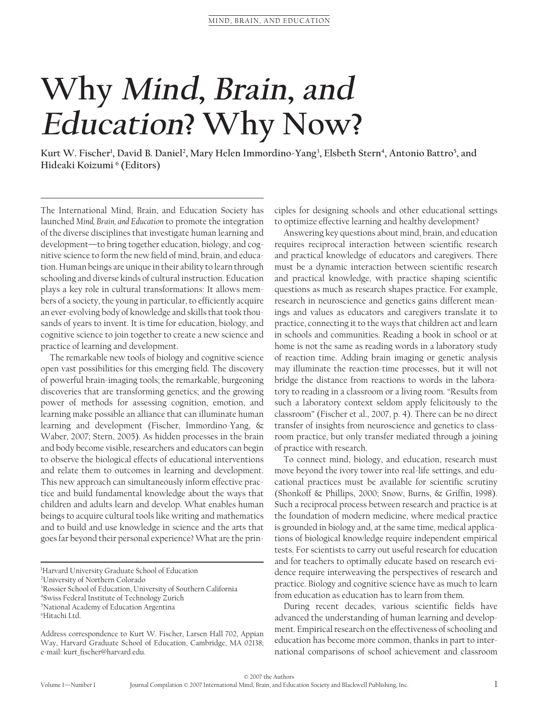## **Why Mind, Brain, and Education? Why Now?**

Kurt W. Fischer<sup>ı</sup>, David B. Daniel<sup>2</sup>, Mary Helen Immordino-Yang<sup>3</sup>, Elsbeth Stern<sup>4</sup>, Antonio Battro<sup>5</sup>, and  **Hideaki Koizumi 6 (Editors)** 

 The International Mind, Brain, and Education Society has launched *Mind, Brain, and Education* to promote the integration of the diverse disciplines that investigate human learning and development — to bring together education, biology, and cognitive science to form the new field of mind, brain, and education. Human beings are unique in their ability to learn through schooling and diverse kinds of cultural instruction. Education plays a key role in cultural transformations: It allows members of a society, the young in particular, to efficiently acquire an ever-evolving body of knowledge and skills that took thousands of years to invent. It is time for education, biology, and cognitive science to join together to create a new science and practice of learning and development.

 The remarkable new tools of biology and cognitive science open vast possibilities for this emerging field. The discovery of powerful brain-imaging tools; the remarkable, burgeoning discoveries that are transforming genetics; and the growing power of methods for assessing cognition, emotion, and learning make possible an alliance that can illuminate human learning and development (Fischer, Immordino-Yang, & Waber, 2007; Stern, 2005). As hidden processes in the brain and body become visible, researchers and educators can begin to observe the biological effects of educational interventions and relate them to outcomes in learning and development. This new approach can simultaneously inform effective practice and build fundamental knowledge about the ways that children and adults learn and develop. What enables human beings to acquire cultural tools like writing and mathematics and to build and use knowledge in science and the arts that goes far beyond their personal experience? What are the prin-

1 Harvard University Graduate School of Education 2 University of Northern Colorado

 Rossier School of Education, University of Southern California Swiss Federal Institute of Technology Zurich National Academy of Education Argentina Hitachi Ltd.

ciples for designing schools and other educational settings to optimize effective learning and healthy development?

 Answering key questions about mind, brain, and education requires reciprocal interaction between scientific research and practical knowledge of educators and caregivers. There must be a dynamic interaction between scientific research and practical knowledge, with practice shaping scientific questions as much as research shapes practice. For example, research in neuroscience and genetics gains different meanings and values as educators and caregivers translate it to practice, connecting it to the ways that children act and learn in schools and communities. Reading a book in school or at home is not the same as reading words in a laboratory study of reaction time. Adding brain imaging or genetic analysis may illuminate the reaction-time processes, but it will not bridge the distance from reactions to words in the laboratory to reading in a classroom or a living room. " Results from such a laboratory context seldom apply felicitously to the classroom" (Fischer et al., 2007, p. 4). There can be no direct transfer of insights from neuroscience and genetics to classroom practice, but only transfer mediated through a joining of practice with research.

 To connect mind, biology, and education, research must move beyond the ivory tower into real-life settings, and educational practices must be available for scientific scrutiny (Shonkoff & Phillips, 2000; Snow, Burns, & Griffin, 1998). Such a reciprocal process between research and practice is at the foundation of modern medicine, where medical practice is grounded in biology and, at the same time, medical applications of biological knowledge require independent empirical tests. For scientists to carry out useful research for education and for teachers to optimally educate based on research evidence require interweaving the perspectives of research and practice. Biology and cognitive science have as much to learn from education as education has to learn from them.

During recent decades, various scientific fields have advanced the understanding of human learning and development. Empirical research on the effectiveness of schooling and education has become more common, thanks in part to international comparisons of school achievement and classroom

Address correspondence to Kurt W. Fischer, Larsen Hall 702, Appian Way, Harvard Graduate School of Education, Cambridge, MA 02138; e-mail: kurt\_fischer@harvard.edu.